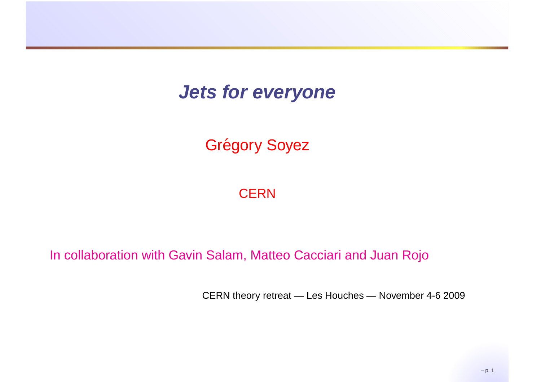### **Jets for everyone**

## Grégory Soyez

#### **CERN**

#### In collaboration with Gavin Salam, Matteo Cacciari and Juan Rojo

CERN theory retreat — Les Houches — November 4-6 2009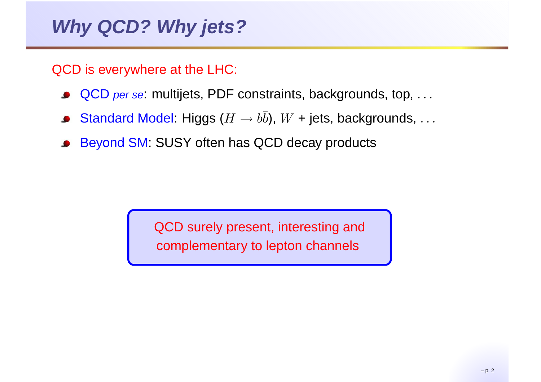QCD is everywhere at the LHC:

- QCD *per se*: multijets, PDF constraints, backgrounds, top, ...
- Standard Model: Higgs ( $H\to b\bar b$ ),  $W$  + jets, backgrounds,  $\ldots$  $\bullet$
- Beyond SM: SUSY often has QCD decay products

QCD surely present, interesting andcomplementary to lepton channels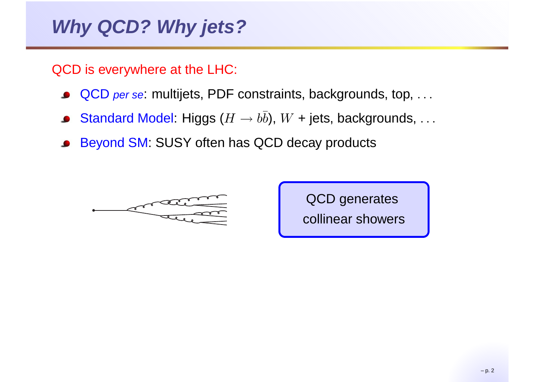QCD is everywhere at the LHC:

- QCD *per se*: multijets, PDF constraints, backgrounds, top, ...
- Standard Model: Higgs ( $H\to b\bar b$ ),  $W$  + jets, backgrounds,  $\ldots$
- Beyond SM: SUSY often has QCD decay products



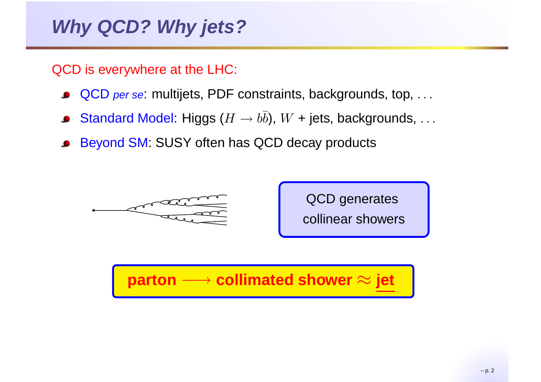QCD is everywhere at the LHC:

- QCD *per se*: multijets, PDF constraints, backgrounds, top, ...
- Standard Model: Higgs ( $H\to b\bar b$ ),  $W$  + jets, backgrounds,  $\ldots$
- Beyond SM: SUSY often has QCD decay products





# **parton** −→ **collimated shower** ≈ **jet**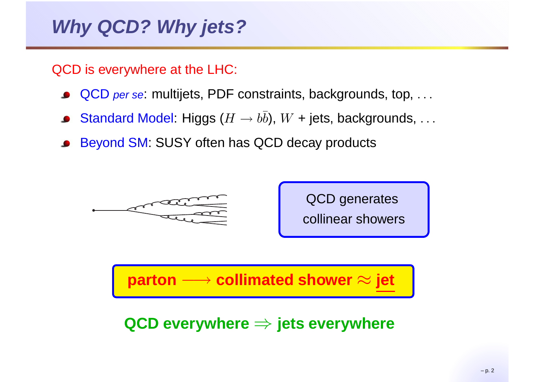QCD is everywhere at the LHC:

- QCD *per se*: multijets, PDF constraints, backgrounds, top, ...
- Standard Model: Higgs ( $H\to b\bar b$ ),  $W$  + jets, backgrounds,  $\ldots$
- Beyond SM: SUSY often has QCD decay products





**parton** −→ **collimated shower** ≈ **jet**

**QCD everywhere**⇒ **jets everywhere**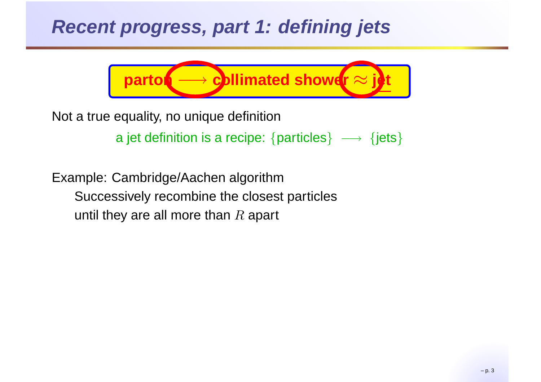### **Recent progress, part 1: defining jets**



Not <sup>a</sup> true equality, no unique definition

a jet definition is a recipe:  $\{ {\mathsf{particles}} \} \implies \{ {\mathsf{jets}} \}$ 

Example: Cambridge/Aachen algorithm Successively recombine the closest particlesuntil they are all more than  $R$  apart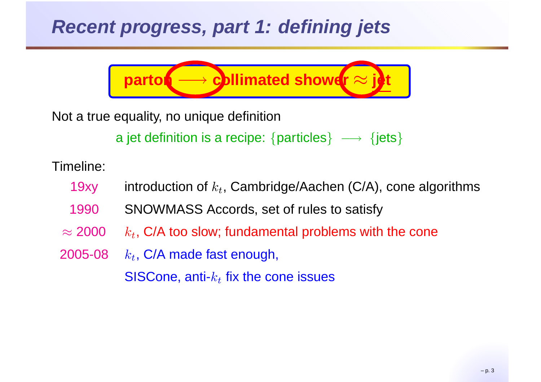## **Recent progress, part 1: defining jets**



Not <sup>a</sup> true equality, no unique definition

a jet definition is a recipe:  $\{ {\mathsf{particles}} \} \implies \{ {\mathsf{jets}} \}$ 

Timeline:

- 19xyy  $\quad$  introduction of  $k_t$ , Cambridge/Aachen (C/A), cone algorithms
- 1990SNOWMASS Accords, set of rules to satisfy
- $\approx$  2000  $k_t$ , C/A too slow; fundamental problems with the cone
- 2005-08 $k_t$ , C/A made fast enough, SISCone, anti- $k_t$  fix the cone issues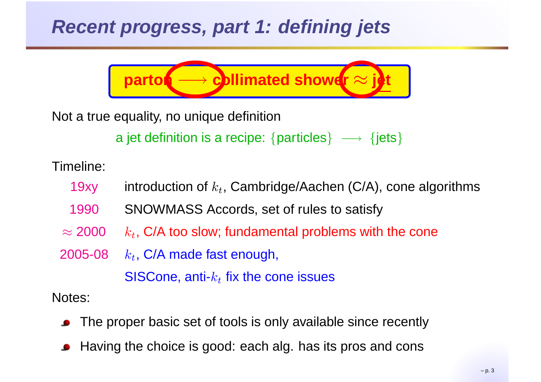## **Recent progress, part 1: defining jets**



Not <sup>a</sup> true equality, no unique definition

a jet definition is a recipe:  $\{ {\mathsf{particles}} \} \implies \{ {\mathsf{jets}} \}$ 

Timeline:

- 19xyy  $\quad$  introduction of  $k_t$ , Cambridge/Aachen (C/A), cone algorithms
- 1990SNOWMASS Accords, set of rules to satisfy
- $\approx$  2000  $k_t$ , C/A too slow; fundamental problems with the cone

2005-08 $k_t$ , C/A made fast enough, SISCone, anti- $k_t$  fix the cone issues

Notes:

- The proper basic set of tools is only available since recentl y
- Having the choice is good: each alg. has its pros and cons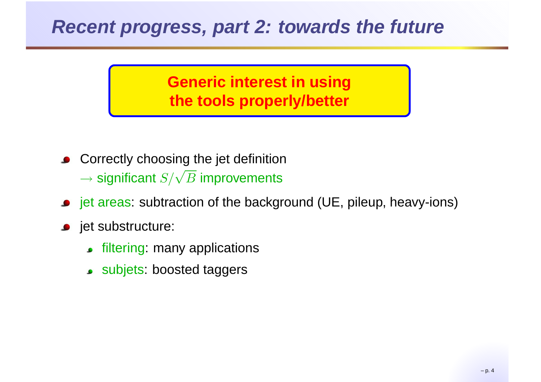### **Recent progress, part 2: towards the future**

**Generic interest in usingthe tools properly/better**

- **Correctly choosing the jet definition**  $\rightarrow$  significant  $S/\sqrt{B}$  improvements
- **•** jet areas: subtraction of the background (UE, pileup, heavy-ions)
- **jet substructure:** 
	- **filtering: many applications**
	- subjets: boosted taggers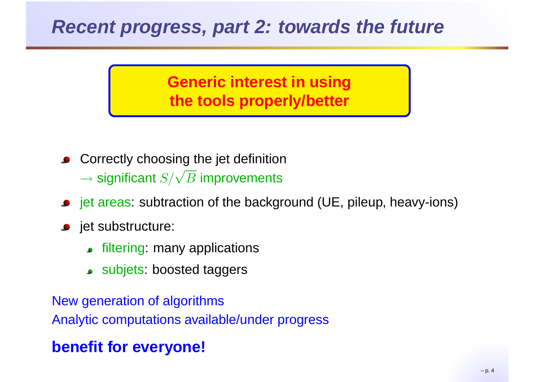### **Recent progress, part 2: towards the future**

**Generic interest in usingthe tools properly/better**

- **Correctly choosing the jet definition**  $\rightarrow$  significant  $S/\sqrt{B}$  improvements
- **•** jet areas: subtraction of the background (UE, pileup, heavy-ions)
- **jet substructure:** 
	- **filtering: many applications**
	- subjets: boosted taggers

New generation of algorithmsAnalytic computations available/under progress

#### **benefit for everyone!**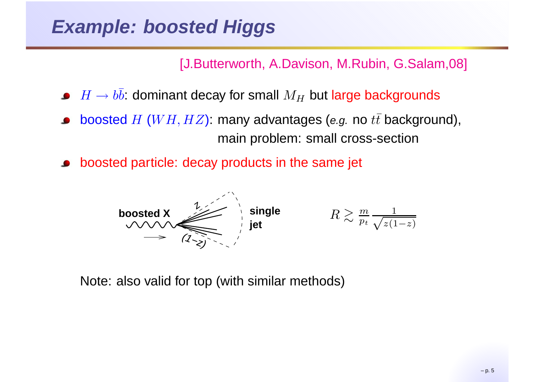[J.Butterworth, A.Davison, M.Rubin, G.Salam,08]

- $H\to b\bar b$ : dominant decay for small  $M_H$  but large backgrounds
- boosted  $H$  ( $WH, HZ$ ): many advantages (e.g. no  $t\bar{t}$  background), main problem: small cross-section
- boosted particle: decay products in the same jet



Note: also valid for top (with similar methods)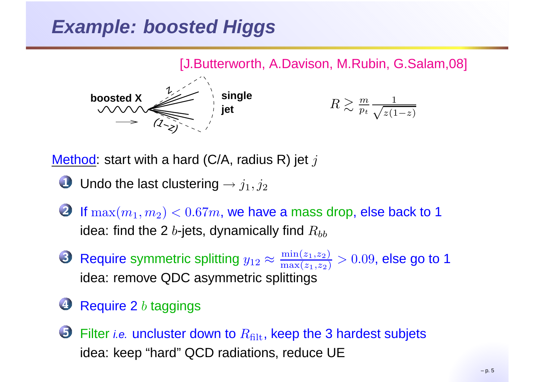## **Example: boosted Higgs**



<u>Method</u>: start with a hard (C/A, radius R) jet  $j$ 

- Undo the last clustering  $\rightarrow j_1, j_2$
- If  $\max(m_1, m_2) < 0.67m$ , we have a mass drop, else back to 1 idea: find the 2  $b$ -jets, dynamically find  $R_{bb}$
- Require symmetric splitting  $y_{12}$   $\approx$  $\approx \frac{\min(z_1, z_2)}{\max(z_1, z_2)} > 0.09$ , else go to 1 idea: remove QDC asymmetric splittings
- Require 2  $b$  taggings

Filter *i.e.* uncluster down to  $R_\mathrm{filt}$ , keep the 3 hardest subjets idea: keep "hard" QCD radiations, reduce UE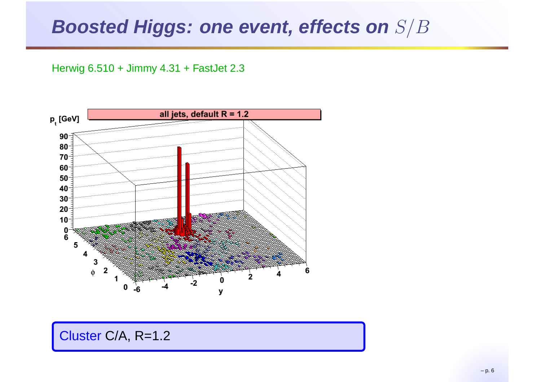Herwig 6.510 <sup>+</sup> Jimmy 4.31 <sup>+</sup> FastJet 2.3



Cluster C/A, R=1.2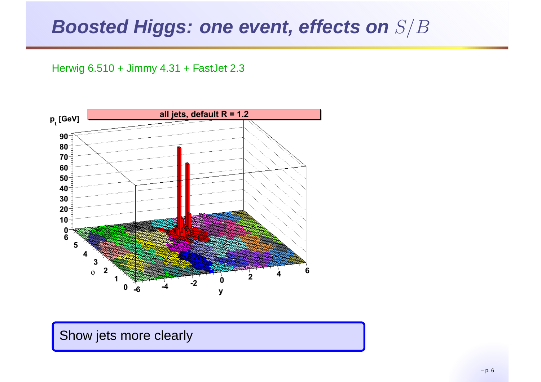Herwig 6.510 <sup>+</sup> Jimmy 4.31 <sup>+</sup> FastJet 2.3



#### Show jets more clearly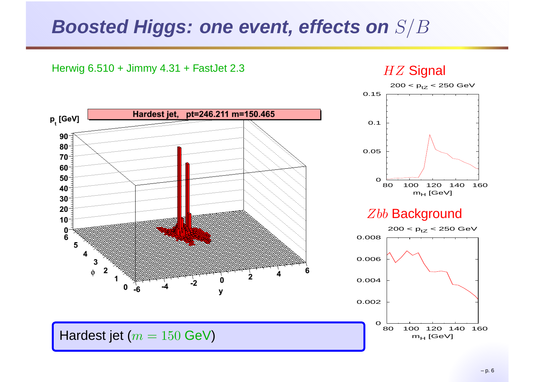2

0

y

 $-2$ 

Hardest jet, pt=246.211 m=150.465

Herwig 6.510 <sup>+</sup> Jimmy 4.31 <sup>+</sup> FastJet 2.3

 $p_t^{\text{[GeV]}}$ 

 $90<sup>-1</sup>$  $80 70 60 50<sup>-</sup>$ 40  $30 20 10<sup>-</sup>$ 0 Ğ 5

4

2

 $\mathbf{1}$ 

Hardest jet ( $m = 150$  GeV)

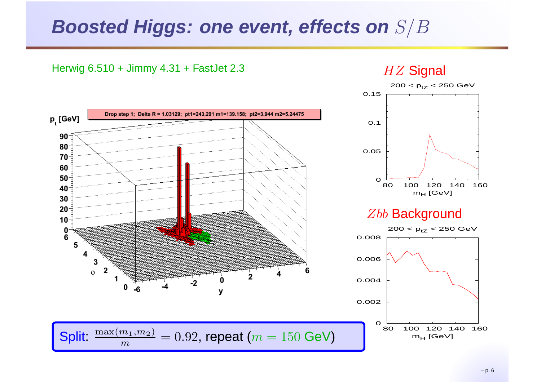2

0

y

 $-2$ 

Drop step 1; Delta R = 1.03129; pt1=243.291 m1=139.158; pt2=3.944 m2=5.24475

Herwig 6.510 <sup>+</sup> Jimmy 4.31 <sup>+</sup> FastJet 2.3

 $p_t$  [GeV]

 $90<sup>-1</sup>$  $80 70 -$ 60  $50 -$ 40  $30<sup>°</sup>$  $20 10<sup>-</sup>$ 0 Ğ 5

4

 $m$ 

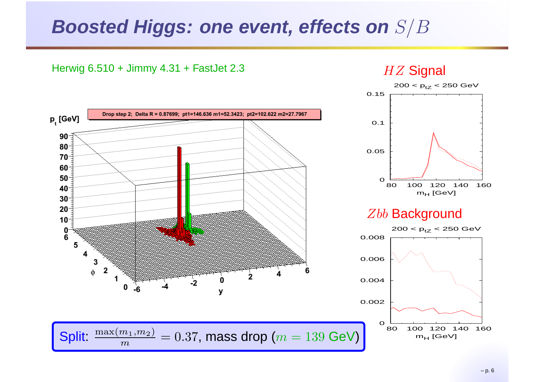2

0

y

 $-2$ 

Drop step 2; Delta R = 0.87699; pt1=146.636 m1=52.3423; pt2=102.622 m2=27.7967

Herwig 6.510 <sup>+</sup> Jimmy 4.31 <sup>+</sup> FastJet 2.3

 $p_t$  [GeV]

 $90<sup>-1</sup>$  $80 70 -$ 60  $50 -$ 40  $30<sup>°</sup>$  $20 10<sup>-</sup>$ 0 Ğ 5

 $m$ 

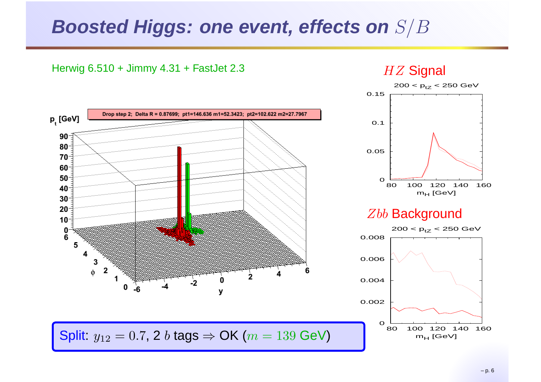Herwig 6.510 <sup>+</sup> Jimmy 4.31 <sup>+</sup> FastJet 2.3

p<sub>t</sub>[GeV]

 $90<sup>-1</sup>$  $80 70 -$ 60  $50 -$ 40  $30<sup>°</sup>$  $20 -$ 





Drop step 2; Delta R = 0.87699; pt1=146.636 m1=52.3423; pt2=102.622 m2=27.7967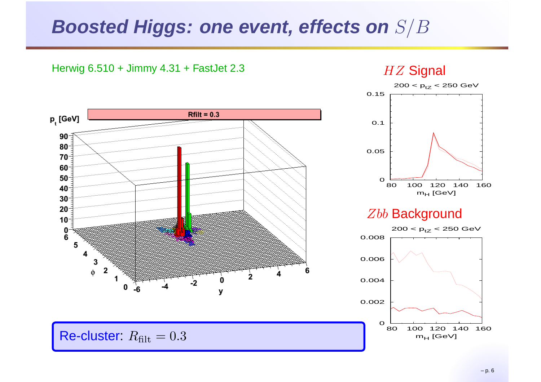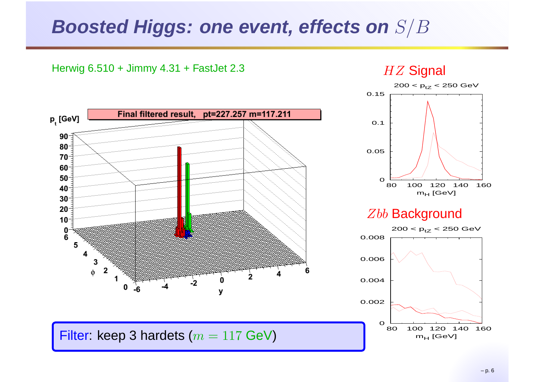2

0

y

 $-2$ 

Final filtered result, pt=227.257 m=117.211

Herwig 6.510 <sup>+</sup> Jimmy 4.31 <sup>+</sup> FastJet 2.3

 $p_t^{\text{[GeV]}}$ 

 $90<sup>-1</sup>$  $80 70 -$ 60  $50<sup>-</sup>$ 40  $30<sup>°</sup>$  $20 10<sup>-</sup>$ 0 Ğ 5

4

2

 $\mathbf{1}$ 





Filter: keep 3 hardets ( $m = 117$  GeV)